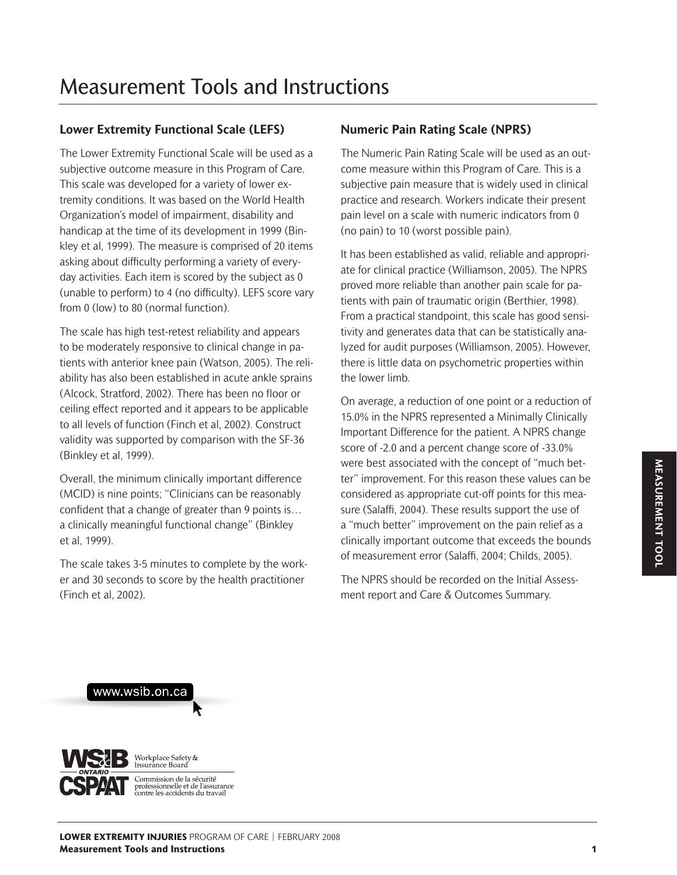## **Lower Extremity Functional Scale (LEFS)**

The Lower Extremity Functional Scale will be used as a subjective outcome measure in this Program of Care. This scale was developed for a variety of lower extremity conditions. It was based on the World Health Organization's model of impairment, disability and handicap at the time of its development in 1999 (Binkley et al, 1999). The measure is comprised of 20 items asking about difficulty performing a variety of everyday activities. Each item is scored by the subject as 0 (unable to perform) to 4 (no difficulty). LEFS score vary from 0 (low) to 80 (normal function).

The scale has high test-retest reliability and appears to be moderately responsive to clinical change in patients with anterior knee pain (Watson, 2005). The reliability has also been established in acute ankle sprains (Alcock, Stratford, 2002). There has been no floor or ceiling effect reported and it appears to be applicable to all levels of function (Finch et al, 2002). Construct validity was supported by comparison with the SF-36 (Binkley et al, 1999).

Overall, the minimum clinically important difference (MCID) is nine points; "Clinicians can be reasonably confident that a change of greater than 9 points is… a clinically meaningful functional change" (Binkley et al, 1999).

The scale takes 3-5 minutes to complete by the worker and 30 seconds to score by the health practitioner (Finch et al, 2002).

## **Numeric Pain Rating Scale (NPRS)**

The Numeric Pain Rating Scale will be used as an outcome measure within this Program of Care. This is a subjective pain measure that is widely used in clinical practice and research. Workers indicate their present pain level on a scale with numeric indicators from 0 (no pain) to 10 (worst possible pain).

It has been established as valid, reliable and appropriate for clinical practice (Williamson, 2005). The NPRS proved more reliable than another pain scale for patients with pain of traumatic origin (Berthier, 1998). From a practical standpoint, this scale has good sensitivity and generates data that can be statistically analyzed for audit purposes (Williamson, 2005). However, there is little data on psychometric properties within the lower limb.

On average, a reduction of one point or a reduction of 15.0% in the NPRS represented a Minimally Clinically Important Difference for the patient. A NPRS change score of -2.0 and a percent change score of -33.0% were best associated with the concept of "much better" improvement. For this reason these values can be considered as appropriate cut-off points for this measure (Salaffi, 2004). These results support the use of a "much better" improvement on the pain relief as a clinically important outcome that exceeds the bounds of measurement error (Salaffi, 2004; Childs, 2005).

The NPRS should be recorded on the Initial Assessment report and Care & Outcomes Summary.



www.wsib.on.ca